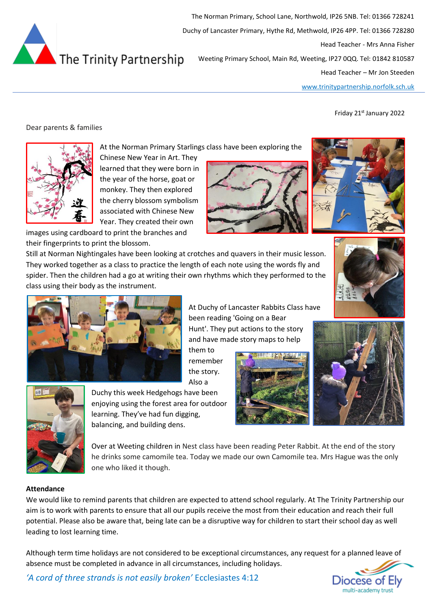

The Norman Primary, School Lane, Northwold, IP26 5NB. Tel: 01366 728241 Duchy of Lancaster Primary, Hythe Rd, Methwold, IP26 4PP. Tel: 01366 728280 Head Teacher - Mrs Anna Fisher Weeting Primary School, Main Rd, Weeting, IP27 0QQ. Tel: 01842 810587

Head Teacher – Mr Jon Steeden

[www.trinitypartnership.norfolk.sch.uk](http://www.trinitypartnership.norfolk.sch.uk/)

Friday 21st January 2022

# Dear parents & families



At the Norman Primary Starlings class have been exploring the

Chinese New Year in Art. They learned that they were born in the year of the horse, goat or monkey. They then explored the cherry blossom symbolism associated with Chinese New Year. They created their own

images using cardboard to print the branches and their fingerprints to print the blossom.

Still at Norman Nightingales have been looking at crotches and quavers in their music lesson. They worked together as a class to practice the length of each note using the words fly and spider. Then the children had a go at writing their own rhythms which they performed to the class using their body as the instrument.





At Duchy of Lancaster Rabbits Class have been reading 'Going on a Bear Hunt'. They put actions to the story and have made story maps to help

them to remember the story. Also a







Duchy this week Hedgehogs have been enjoying using the forest area for outdoor learning. They've had fun digging, balancing, and building dens.

Over at Weeting children in Nest class have been reading Peter Rabbit. At the end of the story he drinks some camomile tea. Today we made our own Camomile tea. Mrs Hague was the only one who liked it though.

### **Attendance**

We would like to remind parents that children are expected to attend school regularly. At The Trinity Partnership our aim is to work with parents to ensure that all our pupils receive the most from their education and reach their full potential. Please also be aware that, being late can be a disruptive way for children to start their school day as well leading to lost learning time.

Although term time holidays are not considered to be exceptional circumstances, any request for a planned leave of absence must be completed in advance in all circumstances, including holidays.



*'A cord of three strands is not easily broken'* Ecclesiastes 4:12